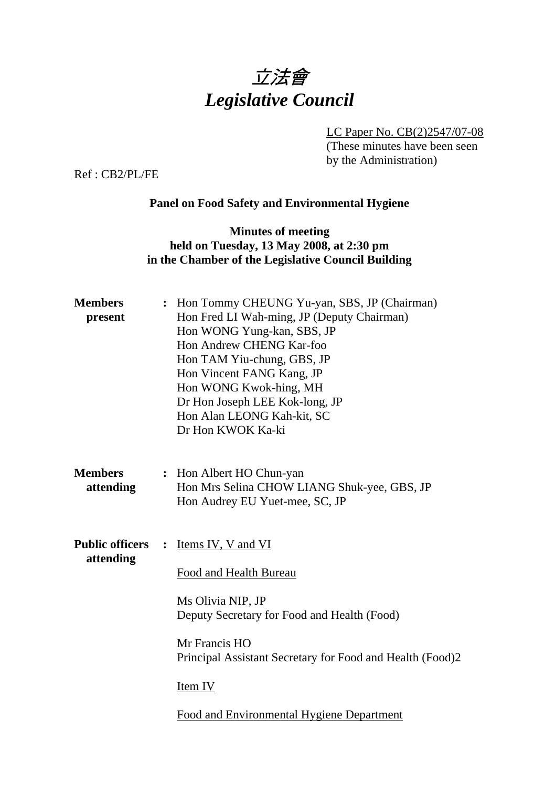

LC Paper No. CB(2)2547/07-08

(These minutes have been seen by the Administration)

Ref : CB2/PL/FE

# **Panel on Food Safety and Environmental Hygiene**

### **Minutes of meeting held on Tuesday, 13 May 2008, at 2:30 pm in the Chamber of the Legislative Council Building**

| <b>Members</b><br>present           | $\ddot{\cdot}$ | Hon Tommy CHEUNG Yu-yan, SBS, JP (Chairman)<br>Hon Fred LI Wah-ming, JP (Deputy Chairman)<br>Hon WONG Yung-kan, SBS, JP<br>Hon Andrew CHENG Kar-foo<br>Hon TAM Yiu-chung, GBS, JP<br>Hon Vincent FANG Kang, JP<br>Hon WONG Kwok-hing, MH<br>Dr Hon Joseph LEE Kok-long, JP<br>Hon Alan LEONG Kah-kit, SC<br>Dr Hon KWOK Ka-ki |
|-------------------------------------|----------------|-------------------------------------------------------------------------------------------------------------------------------------------------------------------------------------------------------------------------------------------------------------------------------------------------------------------------------|
| <b>Members</b><br>attending         |                | : Hon Albert HO Chun-yan<br>Hon Mrs Selina CHOW LIANG Shuk-yee, GBS, JP<br>Hon Audrey EU Yuet-mee, SC, JP                                                                                                                                                                                                                     |
| <b>Public officers</b><br>attending | $\ddot{\cdot}$ | Items IV, V and VI<br>Food and Health Bureau<br>Ms Olivia NIP, JP<br>Deputy Secretary for Food and Health (Food)<br>Mr Francis HO<br>Principal Assistant Secretary for Food and Health (Food)2<br>Item IV<br><b>Food and Environmental Hygiene Department</b>                                                                 |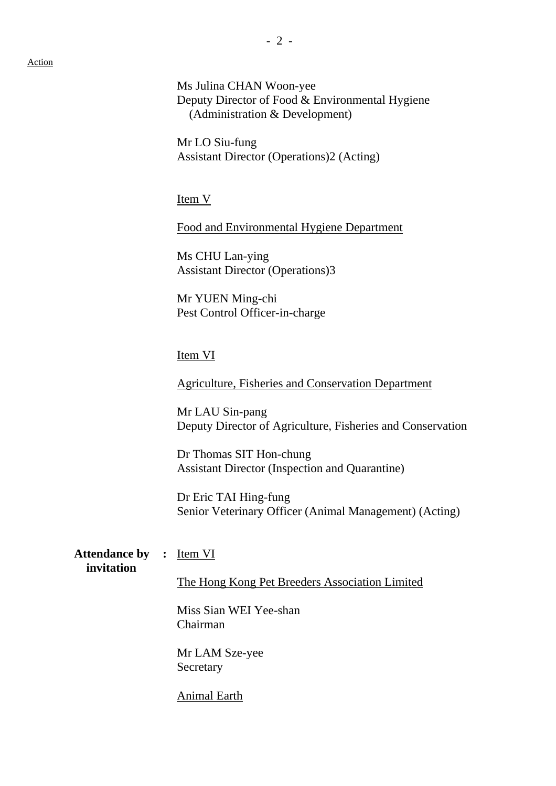Ms Julina CHAN Woon-yee Deputy Director of Food & Environmental Hygiene (Administration & Development)

Mr LO Siu-fung Assistant Director (Operations)2 (Acting)

Item V

Food and Environmental Hygiene Department

Ms CHU Lan-ying Assistant Director (Operations)3

Mr YUEN Ming-chi Pest Control Officer-in-charge

#### Item VI

Agriculture, Fisheries and Conservation Department

Mr LAU Sin-pang Deputy Director of Agriculture, Fisheries and Conservation

Dr Thomas SIT Hon-chung Assistant Director (Inspection and Quarantine)

Dr Eric TAI Hing-fung Senior Veterinary Officer (Animal Management) (Acting)

Attendance by : Item VI **invitation** 

The Hong Kong Pet Breeders Association Limited

Miss Sian WEI Yee-shan Chairman

Mr LAM Sze-yee Secretary

Animal Earth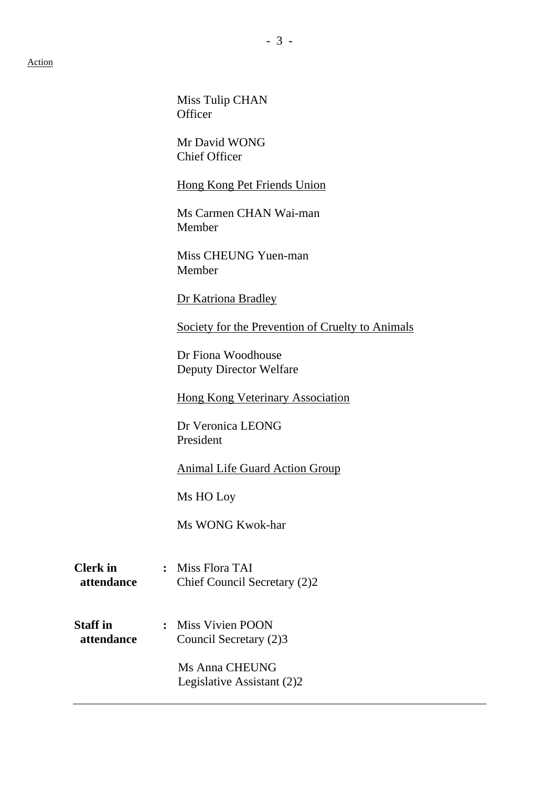Miss Tulip CHAN **Officer** Mr David WONG Chief Officer Hong Kong Pet Friends Union Ms Carmen CHAN Wai-man Member Miss CHEUNG Yuen-man Member Dr Katriona Bradley Society for the Prevention of Cruelty to Animals Dr Fiona Woodhouse Deputy Director Welfare Hong Kong Veterinary Association Dr Veronica LEONG President Animal Life Guard Action Group Ms HO Loy Ms WONG Kwok-har **Clerk in :** Miss Flora TAI  **attendance** Chief Council Secretary (2)2 **Staff in :** Miss Vivien POON **attendance** Council Secretary (2)3 Ms Anna CHEUNG Legislative Assistant (2)2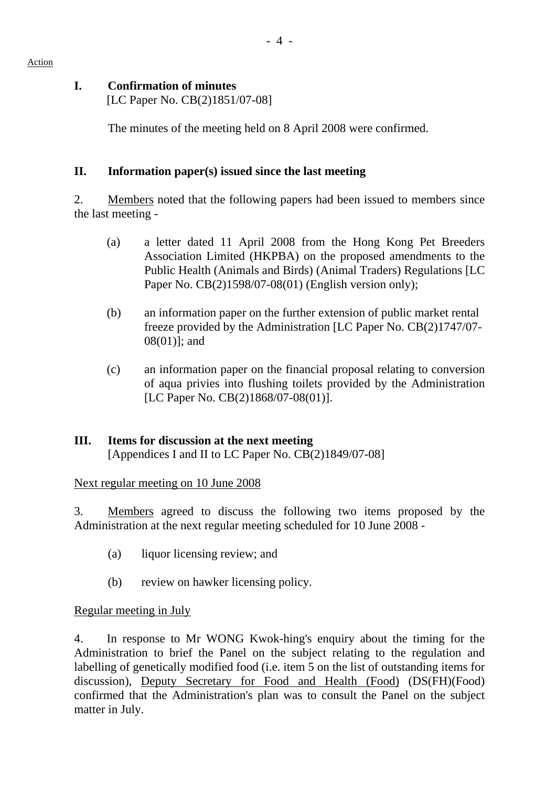### **I. Confirmation of minutes**

[LC Paper No. CB(2)1851/07-08]

The minutes of the meeting held on 8 April 2008 were confirmed.

### **II. Information paper(s) issued since the last meeting**

2. Members noted that the following papers had been issued to members since the last meeting -

- (a) a letter dated 11 April 2008 from the Hong Kong Pet Breeders Association Limited (HKPBA) on the proposed amendments to the Public Health (Animals and Birds) (Animal Traders) Regulations [LC Paper No. CB(2)1598/07-08(01) (English version only);
- (b) an information paper on the further extension of public market rental freeze provided by the Administration [LC Paper No. CB(2)1747/07- 08(01)]; and
- (c) an information paper on the financial proposal relating to conversion of aqua privies into flushing toilets provided by the Administration [LC Paper No. CB(2)1868/07-08(01)].

# **III. Items for discussion at the next meeting**

[Appendices I and II to LC Paper No. CB(2)1849/07-08]

Next regular meeting on 10 June 2008

3. Members agreed to discuss the following two items proposed by the Administration at the next regular meeting scheduled for 10 June 2008 -

- (a) liquor licensing review; and
- (b) review on hawker licensing policy.

# Regular meeting in July

4. In response to Mr WONG Kwok-hing's enquiry about the timing for the Administration to brief the Panel on the subject relating to the regulation and labelling of genetically modified food (i.e. item 5 on the list of outstanding items for discussion), Deputy Secretary for Food and Health (Food) (DS(FH)(Food) confirmed that the Administration's plan was to consult the Panel on the subject matter in July.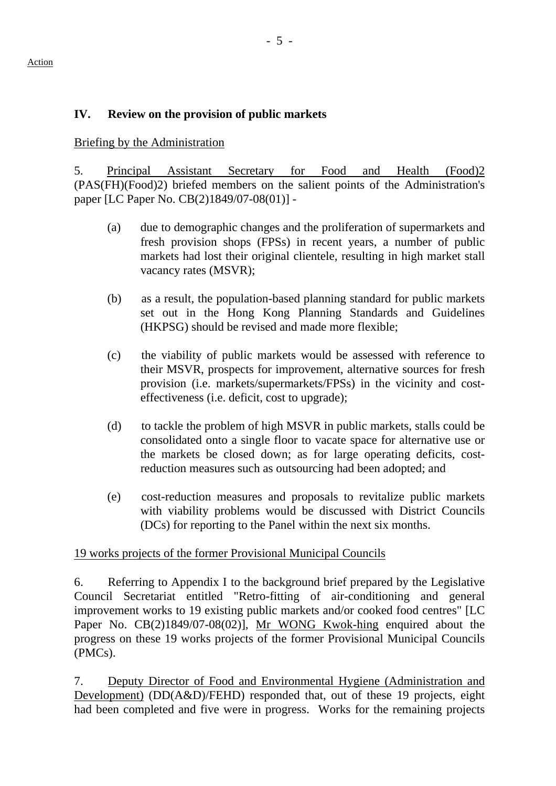# **IV. Review on the provision of public markets**

Briefing by the Administration

5. Principal Assistant Secretary for Food and Health (Food)2 (PAS(FH)(Food)2) briefed members on the salient points of the Administration's paper [LC Paper No. CB(2)1849/07-08(01)] -

- (a) due to demographic changes and the proliferation of supermarkets and fresh provision shops (FPSs) in recent years, a number of public markets had lost their original clientele, resulting in high market stall vacancy rates (MSVR);
- (b) as a result, the population-based planning standard for public markets set out in the Hong Kong Planning Standards and Guidelines (HKPSG) should be revised and made more flexible;
- (c) the viability of public markets would be assessed with reference to their MSVR, prospects for improvement, alternative sources for fresh provision (i.e. markets/supermarkets/FPSs) in the vicinity and costeffectiveness (i.e. deficit, cost to upgrade);
- (d) to tackle the problem of high MSVR in public markets, stalls could be consolidated onto a single floor to vacate space for alternative use or the markets be closed down; as for large operating deficits, costreduction measures such as outsourcing had been adopted; and
- (e) cost-reduction measures and proposals to revitalize public markets with viability problems would be discussed with District Councils (DCs) for reporting to the Panel within the next six months.

### 19 works projects of the former Provisional Municipal Councils

6. Referring to Appendix I to the background brief prepared by the Legislative Council Secretariat entitled "Retro-fitting of air-conditioning and general improvement works to 19 existing public markets and/or cooked food centres" [LC Paper No. CB(2)1849/07-08(02)], Mr WONG Kwok-hing enquired about the progress on these 19 works projects of the former Provisional Municipal Councils (PMCs).

7. Deputy Director of Food and Environmental Hygiene (Administration and Development) (DD(A&D)/FEHD) responded that, out of these 19 projects, eight had been completed and five were in progress. Works for the remaining projects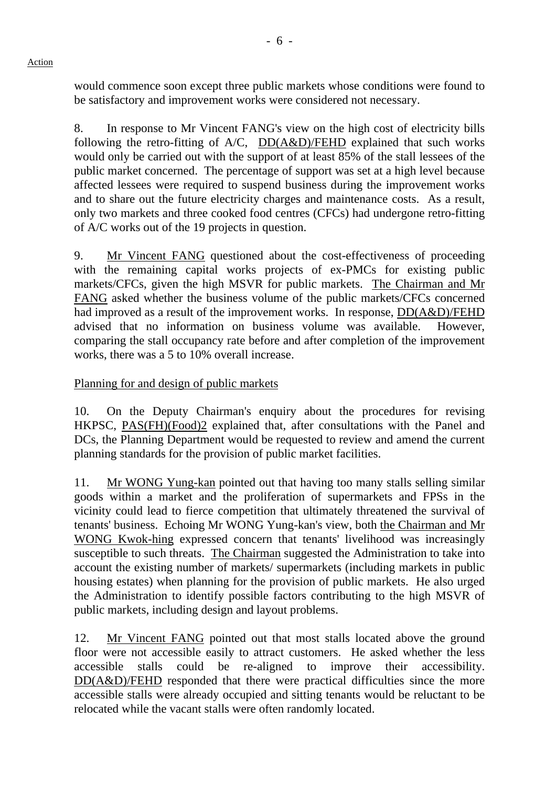would commence soon except three public markets whose conditions were found to be satisfactory and improvement works were considered not necessary.

8. In response to Mr Vincent FANG's view on the high cost of electricity bills following the retro-fitting of A/C, DD(A&D)/FEHD explained that such works would only be carried out with the support of at least 85% of the stall lessees of the public market concerned. The percentage of support was set at a high level because affected lessees were required to suspend business during the improvement works and to share out the future electricity charges and maintenance costs. As a result, only two markets and three cooked food centres (CFCs) had undergone retro-fitting of A/C works out of the 19 projects in question.

9. Mr Vincent FANG questioned about the cost-effectiveness of proceeding with the remaining capital works projects of ex-PMCs for existing public markets/CFCs, given the high MSVR for public markets. The Chairman and Mr FANG asked whether the business volume of the public markets/CFCs concerned had improved as a result of the improvement works. In response, DD(A&D)/FEHD advised that no information on business volume was available. However, comparing the stall occupancy rate before and after completion of the improvement works, there was a 5 to 10% overall increase.

Planning for and design of public markets

10. On the Deputy Chairman's enquiry about the procedures for revising HKPSC, PAS(FH)(Food)2 explained that, after consultations with the Panel and DCs, the Planning Department would be requested to review and amend the current planning standards for the provision of public market facilities.

11. Mr WONG Yung-kan pointed out that having too many stalls selling similar goods within a market and the proliferation of supermarkets and FPSs in the vicinity could lead to fierce competition that ultimately threatened the survival of tenants' business. Echoing Mr WONG Yung-kan's view, both the Chairman and Mr WONG Kwok-hing expressed concern that tenants' livelihood was increasingly susceptible to such threats. The Chairman suggested the Administration to take into account the existing number of markets/ supermarkets (including markets in public housing estates) when planning for the provision of public markets. He also urged the Administration to identify possible factors contributing to the high MSVR of public markets, including design and layout problems.

12. Mr Vincent FANG pointed out that most stalls located above the ground floor were not accessible easily to attract customers. He asked whether the less accessible stalls could be re-aligned to improve their accessibility. DD(A&D)/FEHD responded that there were practical difficulties since the more accessible stalls were already occupied and sitting tenants would be reluctant to be relocated while the vacant stalls were often randomly located.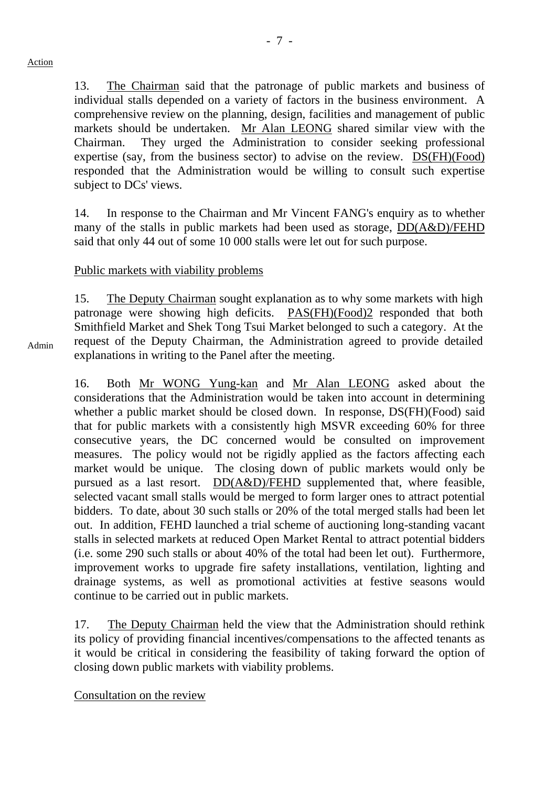Admin

13. The Chairman said that the patronage of public markets and business of individual stalls depended on a variety of factors in the business environment. A comprehensive review on the planning, design, facilities and management of public markets should be undertaken. Mr Alan LEONG shared similar view with the Chairman. They urged the Administration to consider seeking professional expertise (say, from the business sector) to advise on the review. DS(FH)(Food) responded that the Administration would be willing to consult such expertise subject to DCs' views.

14. In response to the Chairman and Mr Vincent FANG's enquiry as to whether many of the stalls in public markets had been used as storage, DD(A&D)/FEHD said that only 44 out of some 10 000 stalls were let out for such purpose.

#### Public markets with viability problems

15. The Deputy Chairman sought explanation as to why some markets with high patronage were showing high deficits. PAS(FH)(Food)2 responded that both Smithfield Market and Shek Tong Tsui Market belonged to such a category. At the request of the Deputy Chairman, the Administration agreed to provide detailed explanations in writing to the Panel after the meeting.

16. Both Mr WONG Yung-kan and Mr Alan LEONG asked about the considerations that the Administration would be taken into account in determining whether a public market should be closed down. In response,  $DS(FH)(Food)$  said that for public markets with a consistently high MSVR exceeding 60% for three consecutive years, the DC concerned would be consulted on improvement measures. The policy would not be rigidly applied as the factors affecting each market would be unique. The closing down of public markets would only be pursued as a last resort. DD(A&D)/FEHD supplemented that, where feasible, selected vacant small stalls would be merged to form larger ones to attract potential bidders. To date, about 30 such stalls or 20% of the total merged stalls had been let out. In addition, FEHD launched a trial scheme of auctioning long-standing vacant stalls in selected markets at reduced Open Market Rental to attract potential bidders (i.e. some 290 such stalls or about 40% of the total had been let out). Furthermore, improvement works to upgrade fire safety installations, ventilation, lighting and drainage systems, as well as promotional activities at festive seasons would continue to be carried out in public markets.

17. The Deputy Chairman held the view that the Administration should rethink its policy of providing financial incentives/compensations to the affected tenants as it would be critical in considering the feasibility of taking forward the option of closing down public markets with viability problems.

Consultation on the review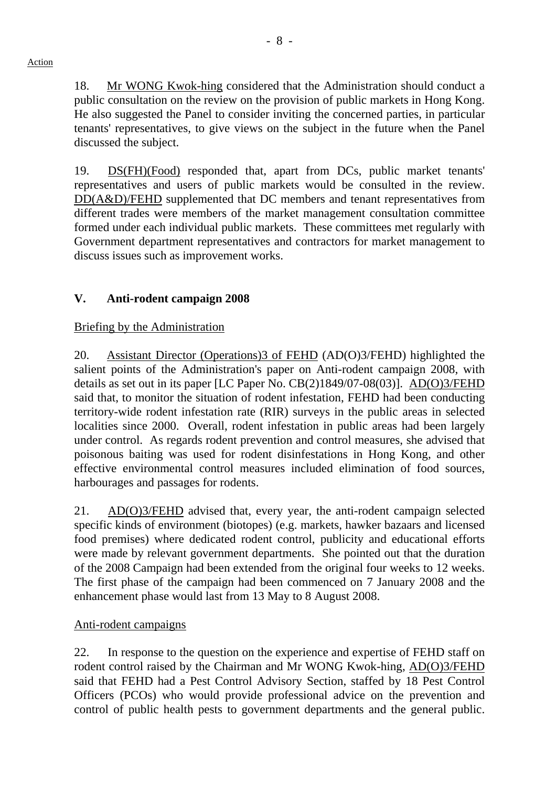18. Mr WONG Kwok-hing considered that the Administration should conduct a public consultation on the review on the provision of public markets in Hong Kong. He also suggested the Panel to consider inviting the concerned parties, in particular tenants' representatives, to give views on the subject in the future when the Panel discussed the subject.

19. DS(FH)(Food) responded that, apart from DCs, public market tenants' representatives and users of public markets would be consulted in the review. DD(A&D)/FEHD supplemented that DC members and tenant representatives from different trades were members of the market management consultation committee formed under each individual public markets. These committees met regularly with Government department representatives and contractors for market management to discuss issues such as improvement works.

# **V. Anti-rodent campaign 2008**

# Briefing by the Administration

20. Assistant Director (Operations)3 of FEHD (AD(O)3/FEHD) highlighted the salient points of the Administration's paper on Anti-rodent campaign 2008, with details as set out in its paper [LC Paper No. CB(2)1849/07-08(03)]. AD(O)3/FEHD said that, to monitor the situation of rodent infestation, FEHD had been conducting territory-wide rodent infestation rate (RIR) surveys in the public areas in selected localities since 2000. Overall, rodent infestation in public areas had been largely under control. As regards rodent prevention and control measures, she advised that poisonous baiting was used for rodent disinfestations in Hong Kong, and other effective environmental control measures included elimination of food sources, harbourages and passages for rodents.

21. AD(O)3/FEHD advised that, every year, the anti-rodent campaign selected specific kinds of environment (biotopes) (e.g. markets, hawker bazaars and licensed food premises) where dedicated rodent control, publicity and educational efforts were made by relevant government departments. She pointed out that the duration of the 2008 Campaign had been extended from the original four weeks to 12 weeks. The first phase of the campaign had been commenced on 7 January 2008 and the enhancement phase would last from 13 May to 8 August 2008.

### Anti-rodent campaigns

22. In response to the question on the experience and expertise of FEHD staff on rodent control raised by the Chairman and Mr WONG Kwok-hing, AD(O)3/FEHD said that FEHD had a Pest Control Advisory Section, staffed by 18 Pest Control Officers (PCOs) who would provide professional advice on the prevention and control of public health pests to government departments and the general public.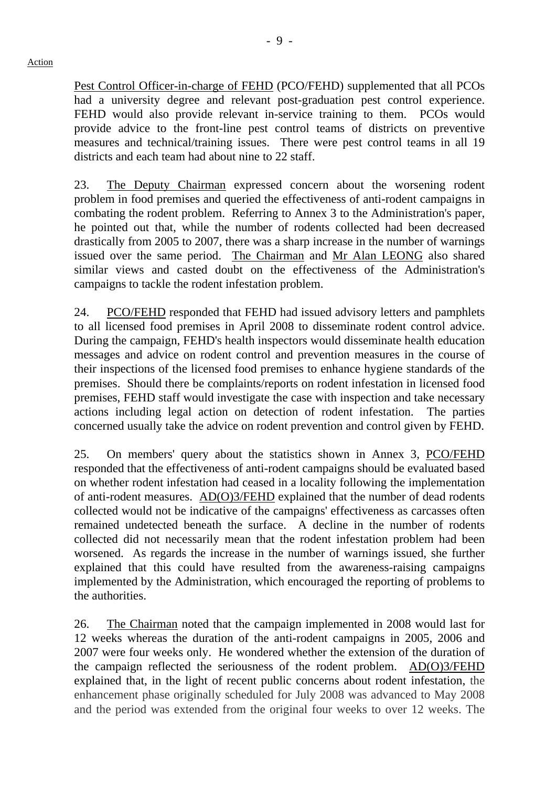Pest Control Officer-in-charge of FEHD (PCO/FEHD) supplemented that all PCOs had a university degree and relevant post-graduation pest control experience. FEHD would also provide relevant in-service training to them. PCOs would provide advice to the front-line pest control teams of districts on preventive measures and technical/training issues. There were pest control teams in all 19 districts and each team had about nine to 22 staff.

23. The Deputy Chairman expressed concern about the worsening rodent problem in food premises and queried the effectiveness of anti-rodent campaigns in combating the rodent problem. Referring to Annex 3 to the Administration's paper, he pointed out that, while the number of rodents collected had been decreased drastically from 2005 to 2007, there was a sharp increase in the number of warnings issued over the same period. The Chairman and Mr Alan LEONG also shared similar views and casted doubt on the effectiveness of the Administration's campaigns to tackle the rodent infestation problem.

24. PCO/FEHD responded that FEHD had issued advisory letters and pamphlets to all licensed food premises in April 2008 to disseminate rodent control advice. During the campaign, FEHD's health inspectors would disseminate health education messages and advice on rodent control and prevention measures in the course of their inspections of the licensed food premises to enhance hygiene standards of the premises. Should there be complaints/reports on rodent infestation in licensed food premises, FEHD staff would investigate the case with inspection and take necessary actions including legal action on detection of rodent infestation. The parties concerned usually take the advice on rodent prevention and control given by FEHD.

25. On members' query about the statistics shown in Annex 3, PCO/FEHD responded that the effectiveness of anti-rodent campaigns should be evaluated based on whether rodent infestation had ceased in a locality following the implementation of anti-rodent measures. AD(O)3/FEHD explained that the number of dead rodents collected would not be indicative of the campaigns' effectiveness as carcasses often remained undetected beneath the surface. A decline in the number of rodents collected did not necessarily mean that the rodent infestation problem had been worsened. As regards the increase in the number of warnings issued, she further explained that this could have resulted from the awareness-raising campaigns implemented by the Administration, which encouraged the reporting of problems to the authorities.

26. The Chairman noted that the campaign implemented in 2008 would last for 12 weeks whereas the duration of the anti-rodent campaigns in 2005, 2006 and 2007 were four weeks only. He wondered whether the extension of the duration of the campaign reflected the seriousness of the rodent problem. AD(O)3/FEHD explained that, in the light of recent public concerns about rodent infestation, the enhancement phase originally scheduled for July 2008 was advanced to May 2008 and the period was extended from the original four weeks to over 12 weeks. The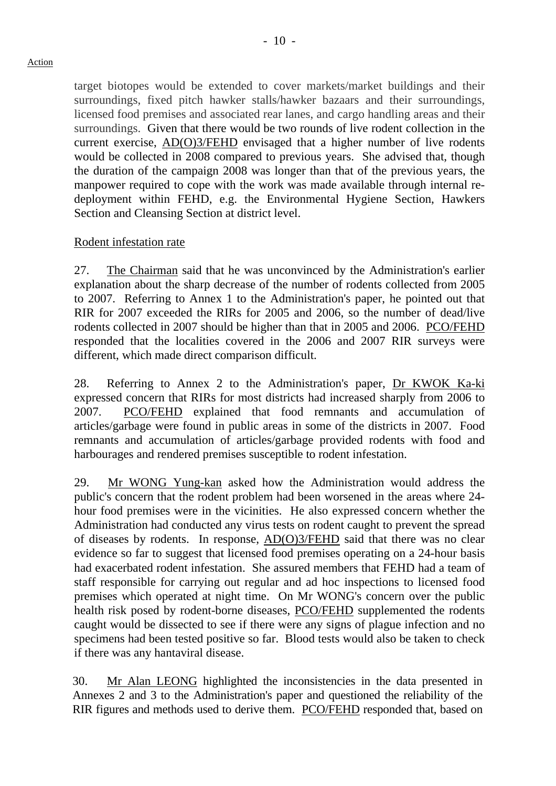target biotopes would be extended to cover markets/market buildings and their surroundings, fixed pitch hawker stalls/hawker bazaars and their surroundings, licensed food premises and associated rear lanes, and cargo handling areas and their surroundings. Given that there would be two rounds of live rodent collection in the current exercise, AD(O)3/FEHD envisaged that a higher number of live rodents would be collected in 2008 compared to previous years. She advised that, though the duration of the campaign 2008 was longer than that of the previous years, the manpower required to cope with the work was made available through internal redeployment within FEHD, e.g. the Environmental Hygiene Section, Hawkers Section and Cleansing Section at district level.

#### Rodent infestation rate

27. The Chairman said that he was unconvinced by the Administration's earlier explanation about the sharp decrease of the number of rodents collected from 2005 to 2007. Referring to Annex 1 to the Administration's paper, he pointed out that RIR for 2007 exceeded the RIRs for 2005 and 2006, so the number of dead/live rodents collected in 2007 should be higher than that in 2005 and 2006. PCO/FEHD responded that the localities covered in the 2006 and 2007 RIR surveys were different, which made direct comparison difficult.

28. Referring to Annex 2 to the Administration's paper, Dr KWOK Ka-ki expressed concern that RIRs for most districts had increased sharply from 2006 to 2007. PCO/FEHD explained that food remnants and accumulation of articles/garbage were found in public areas in some of the districts in 2007. Food remnants and accumulation of articles/garbage provided rodents with food and harbourages and rendered premises susceptible to rodent infestation.

29. Mr WONG Yung-kan asked how the Administration would address the public's concern that the rodent problem had been worsened in the areas where 24 hour food premises were in the vicinities. He also expressed concern whether the Administration had conducted any virus tests on rodent caught to prevent the spread of diseases by rodents. In response, AD(O)3/FEHD said that there was no clear evidence so far to suggest that licensed food premises operating on a 24-hour basis had exacerbated rodent infestation. She assured members that FEHD had a team of staff responsible for carrying out regular and ad hoc inspections to licensed food premises which operated at night time. On Mr WONG's concern over the public health risk posed by rodent-borne diseases, PCO/FEHD supplemented the rodents caught would be dissected to see if there were any signs of plague infection and no specimens had been tested positive so far. Blood tests would also be taken to check if there was any hantaviral disease.

30. Mr Alan LEONG highlighted the inconsistencies in the data presented in Annexes 2 and 3 to the Administration's paper and questioned the reliability of the RIR figures and methods used to derive them. PCO/FEHD responded that, based on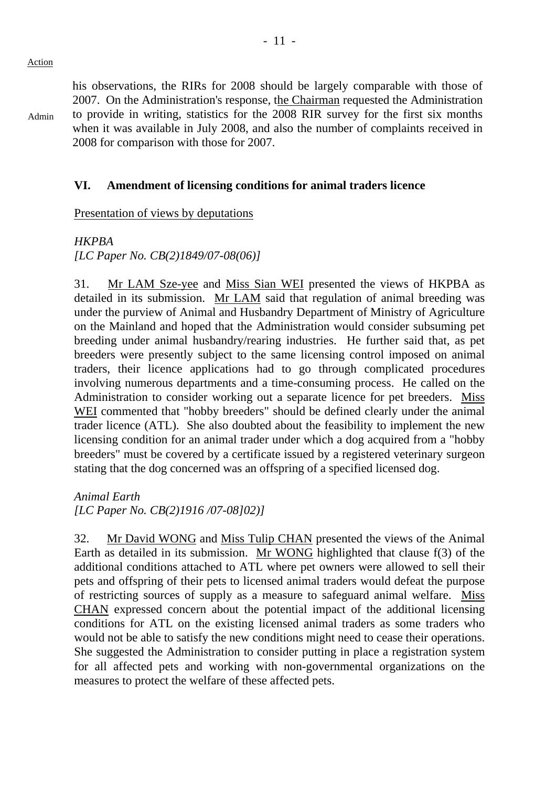Admin

his observations, the RIRs for 2008 should be largely comparable with those of 2007. On the Administration's response, the Chairman requested the Administration to provide in writing, statistics for the 2008 RIR survey for the first six months when it was available in July 2008, and also the number of complaints received in 2008 for comparison with those for 2007.

### **VI. Amendment of licensing conditions for animal traders licence**

Presentation of views by deputations

*HKPBA* 

*[LC Paper No. CB(2)1849/07-08(06)]* 

31. Mr LAM Sze-yee and Miss Sian WEI presented the views of HKPBA as detailed in its submission. Mr LAM said that regulation of animal breeding was under the purview of Animal and Husbandry Department of Ministry of Agriculture on the Mainland and hoped that the Administration would consider subsuming pet breeding under animal husbandry/rearing industries. He further said that, as pet breeders were presently subject to the same licensing control imposed on animal traders, their licence applications had to go through complicated procedures involving numerous departments and a time-consuming process. He called on the Administration to consider working out a separate licence for pet breeders. Miss WEI commented that "hobby breeders" should be defined clearly under the animal trader licence (ATL). She also doubted about the feasibility to implement the new licensing condition for an animal trader under which a dog acquired from a "hobby breeders" must be covered by a certificate issued by a registered veterinary surgeon stating that the dog concerned was an offspring of a specified licensed dog.

*Animal Earth [LC Paper No. CB(2)1916 /07-08]02)]* 

32. Mr David WONG and Miss Tulip CHAN presented the views of the Animal Earth as detailed in its submission. Mr WONG highlighted that clause f(3) of the additional conditions attached to ATL where pet owners were allowed to sell their pets and offspring of their pets to licensed animal traders would defeat the purpose of restricting sources of supply as a measure to safeguard animal welfare. Miss CHAN expressed concern about the potential impact of the additional licensing conditions for ATL on the existing licensed animal traders as some traders who would not be able to satisfy the new conditions might need to cease their operations. She suggested the Administration to consider putting in place a registration system for all affected pets and working with non-governmental organizations on the measures to protect the welfare of these affected pets.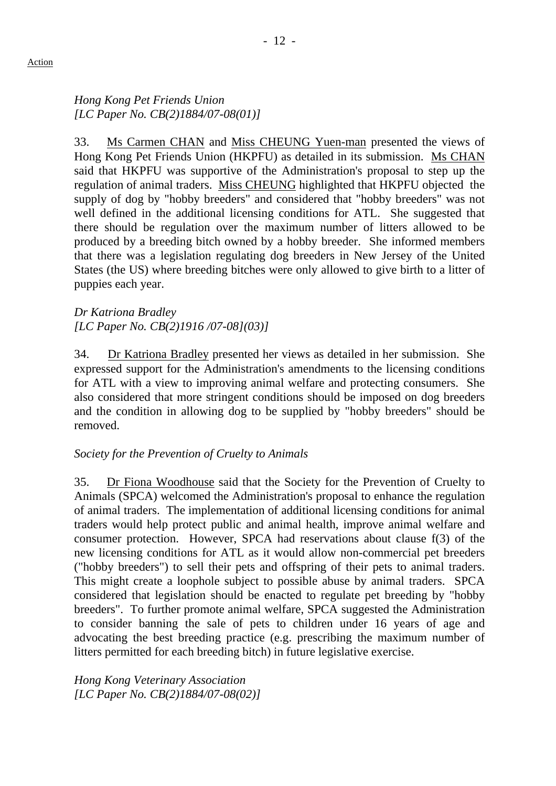33. Ms Carmen CHAN and Miss CHEUNG Yuen-man presented the views of Hong Kong Pet Friends Union (HKPFU) as detailed in its submission. Ms CHAN said that HKPFU was supportive of the Administration's proposal to step up the regulation of animal traders. Miss CHEUNG highlighted that HKPFU objected the supply of dog by "hobby breeders" and considered that "hobby breeders" was not well defined in the additional licensing conditions for ATL. She suggested that there should be regulation over the maximum number of litters allowed to be produced by a breeding bitch owned by a hobby breeder. She informed members that there was a legislation regulating dog breeders in New Jersey of the United States (the US) where breeding bitches were only allowed to give birth to a litter of puppies each year.

*Dr Katriona Bradley [LC Paper No. CB(2)1916 /07-08](03)]* 

34. Dr Katriona Bradley presented her views as detailed in her submission. She expressed support for the Administration's amendments to the licensing conditions for ATL with a view to improving animal welfare and protecting consumers. She also considered that more stringent conditions should be imposed on dog breeders and the condition in allowing dog to be supplied by "hobby breeders" should be removed.

# *Society for the Prevention of Cruelty to Animals*

35. Dr Fiona Woodhouse said that the Society for the Prevention of Cruelty to Animals (SPCA) welcomed the Administration's proposal to enhance the regulation of animal traders. The implementation of additional licensing conditions for animal traders would help protect public and animal health, improve animal welfare and consumer protection. However, SPCA had reservations about clause f(3) of the new licensing conditions for ATL as it would allow non-commercial pet breeders ("hobby breeders") to sell their pets and offspring of their pets to animal traders. This might create a loophole subject to possible abuse by animal traders. SPCA considered that legislation should be enacted to regulate pet breeding by "hobby breeders". To further promote animal welfare, SPCA suggested the Administration to consider banning the sale of pets to children under 16 years of age and advocating the best breeding practice (e.g. prescribing the maximum number of litters permitted for each breeding bitch) in future legislative exercise.

*Hong Kong Veterinary Association [LC Paper No. CB(2)1884/07-08(02)]*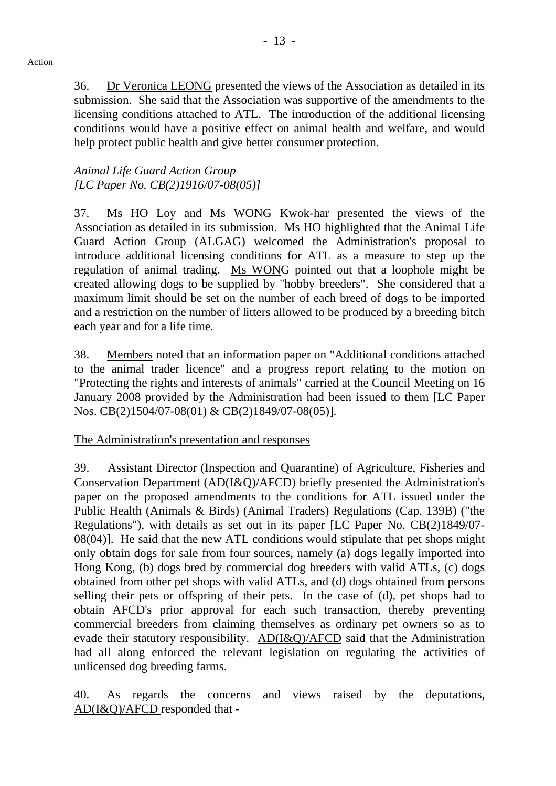36. Dr Veronica LEONG presented the views of the Association as detailed in its submission. She said that the Association was supportive of the amendments to the licensing conditions attached to ATL. The introduction of the additional licensing conditions would have a positive effect on animal health and welfare, and would help protect public health and give better consumer protection.

### *Animal Life Guard Action Group [LC Paper No. CB(2)1916/07-08(05)]*

37. Ms HO Loy and Ms WONG Kwok-har presented the views of the Association as detailed in its submission. Ms HO highlighted that the Animal Life Guard Action Group (ALGAG) welcomed the Administration's proposal to introduce additional licensing conditions for ATL as a measure to step up the regulation of animal trading. Ms WONG pointed out that a loophole might be created allowing dogs to be supplied by "hobby breeders". She considered that a maximum limit should be set on the number of each breed of dogs to be imported and a restriction on the number of litters allowed to be produced by a breeding bitch each year and for a life time.

38. Members noted that an information paper on "Additional conditions attached to the animal trader licence" and a progress report relating to the motion on "Protecting the rights and interests of animals" carried at the Council Meeting on 16 January 2008 provided by the Administration had been issued to them [LC Paper Nos. CB(2)1504/07-08(01) & CB(2)1849/07-08(05)].

The Administration's presentation and responses

39. Assistant Director (Inspection and Quarantine) of Agriculture, Fisheries and Conservation Department (AD(I&Q)/AFCD) briefly presented the Administration's paper on the proposed amendments to the conditions for ATL issued under the Public Health (Animals & Birds) (Animal Traders) Regulations (Cap. 139B) ("the Regulations"), with details as set out in its paper [LC Paper No. CB(2)1849/07- 08(04)]. He said that the new ATL conditions would stipulate that pet shops might only obtain dogs for sale from four sources, namely (a) dogs legally imported into Hong Kong, (b) dogs bred by commercial dog breeders with valid ATLs, (c) dogs obtained from other pet shops with valid ATLs, and (d) dogs obtained from persons selling their pets or offspring of their pets. In the case of (d), pet shops had to obtain AFCD's prior approval for each such transaction, thereby preventing commercial breeders from claiming themselves as ordinary pet owners so as to evade their statutory responsibility. AD(I&Q)/AFCD said that the Administration had all along enforced the relevant legislation on regulating the activities of unlicensed dog breeding farms.

40. As regards the concerns and views raised by the deputations, AD(I&Q)/AFCD responded that -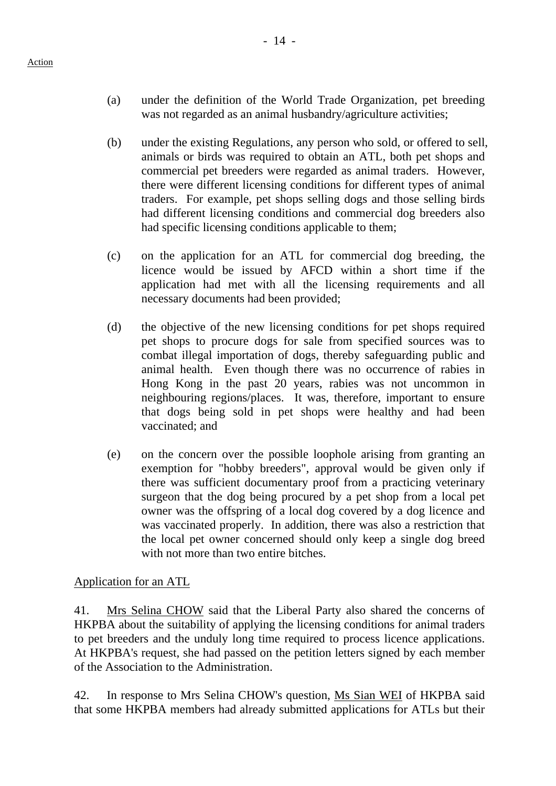- (a) under the definition of the World Trade Organization, pet breeding was not regarded as an animal husbandry/agriculture activities;
- (b) under the existing Regulations, any person who sold, or offered to sell, animals or birds was required to obtain an ATL, both pet shops and commercial pet breeders were regarded as animal traders. However, there were different licensing conditions for different types of animal traders. For example, pet shops selling dogs and those selling birds had different licensing conditions and commercial dog breeders also had specific licensing conditions applicable to them;
- (c) on the application for an ATL for commercial dog breeding, the licence would be issued by AFCD within a short time if the application had met with all the licensing requirements and all necessary documents had been provided;
- (d) the objective of the new licensing conditions for pet shops required pet shops to procure dogs for sale from specified sources was to combat illegal importation of dogs, thereby safeguarding public and animal health. Even though there was no occurrence of rabies in Hong Kong in the past 20 years, rabies was not uncommon in neighbouring regions/places. It was, therefore, important to ensure that dogs being sold in pet shops were healthy and had been vaccinated; and
- (e) on the concern over the possible loophole arising from granting an exemption for "hobby breeders", approval would be given only if there was sufficient documentary proof from a practicing veterinary surgeon that the dog being procured by a pet shop from a local pet owner was the offspring of a local dog covered by a dog licence and was vaccinated properly. In addition, there was also a restriction that the local pet owner concerned should only keep a single dog breed with not more than two entire bitches.

Application for an ATL

41. Mrs Selina CHOW said that the Liberal Party also shared the concerns of HKPBA about the suitability of applying the licensing conditions for animal traders to pet breeders and the unduly long time required to process licence applications. At HKPBA's request, she had passed on the petition letters signed by each member of the Association to the Administration.

42. In response to Mrs Selina CHOW's question, Ms Sian WEI of HKPBA said that some HKPBA members had already submitted applications for ATLs but their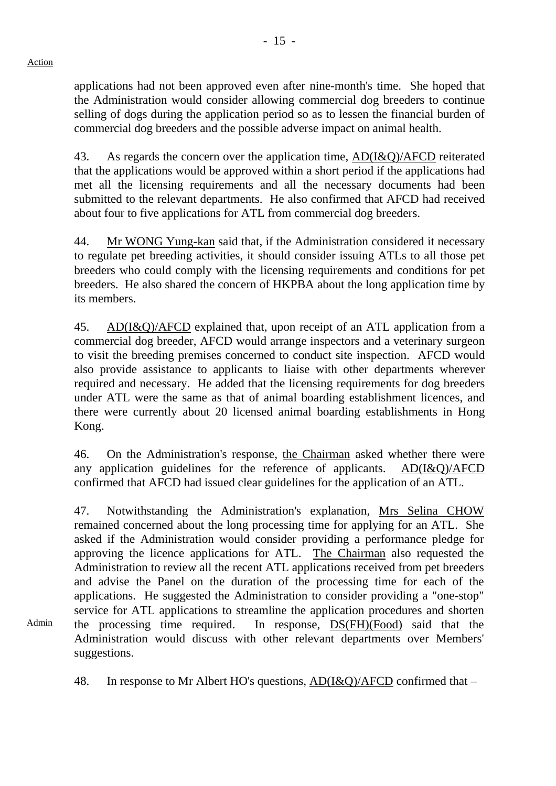Admin

applications had not been approved even after nine-month's time. She hoped that the Administration would consider allowing commercial dog breeders to continue selling of dogs during the application period so as to lessen the financial burden of commercial dog breeders and the possible adverse impact on animal health.

43. As regards the concern over the application time, AD(I&Q)/AFCD reiterated that the applications would be approved within a short period if the applications had met all the licensing requirements and all the necessary documents had been submitted to the relevant departments. He also confirmed that AFCD had received about four to five applications for ATL from commercial dog breeders.

44. Mr WONG Yung-kan said that, if the Administration considered it necessary to regulate pet breeding activities, it should consider issuing ATLs to all those pet breeders who could comply with the licensing requirements and conditions for pet breeders. He also shared the concern of HKPBA about the long application time by its members.

45. AD(I&Q)/AFCD explained that, upon receipt of an ATL application from a commercial dog breeder, AFCD would arrange inspectors and a veterinary surgeon to visit the breeding premises concerned to conduct site inspection. AFCD would also provide assistance to applicants to liaise with other departments wherever required and necessary. He added that the licensing requirements for dog breeders under ATL were the same as that of animal boarding establishment licences, and there were currently about 20 licensed animal boarding establishments in Hong Kong.

46. On the Administration's response, the Chairman asked whether there were any application guidelines for the reference of applicants. AD(I&Q)/AFCD confirmed that AFCD had issued clear guidelines for the application of an ATL.

47. Notwithstanding the Administration's explanation, Mrs Selina CHOW remained concerned about the long processing time for applying for an ATL. She asked if the Administration would consider providing a performance pledge for approving the licence applications for ATL. The Chairman also requested the Administration to review all the recent ATL applications received from pet breeders and advise the Panel on the duration of the processing time for each of the applications. He suggested the Administration to consider providing a "one-stop" service for ATL applications to streamline the application procedures and shorten the processing time required. In response, DS(FH)(Food) said that the Administration would discuss with other relevant departments over Members' suggestions.

48. In response to Mr Albert HO's questions, AD(I&Q)/AFCD confirmed that –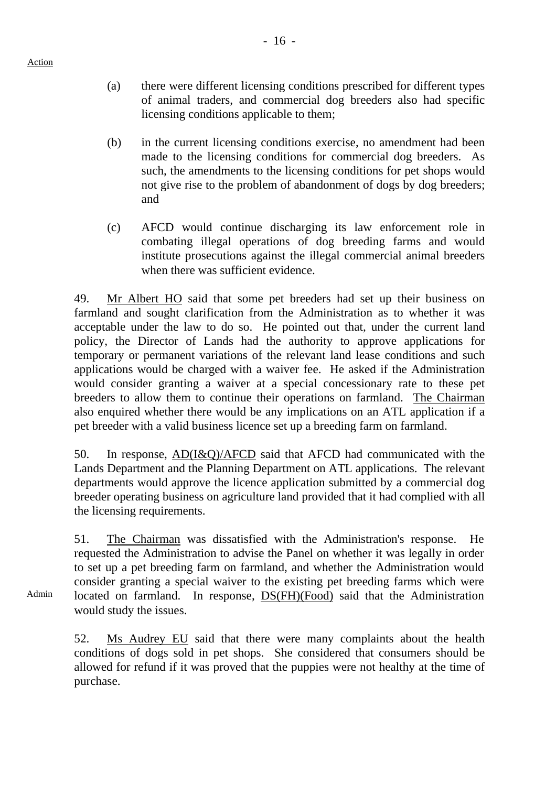(a) there were different licensing conditions prescribed for different types of animal traders, and commercial dog breeders also had specific licensing conditions applicable to them;

- (b) in the current licensing conditions exercise, no amendment had been made to the licensing conditions for commercial dog breeders. As such, the amendments to the licensing conditions for pet shops would not give rise to the problem of abandonment of dogs by dog breeders; and
- (c) AFCD would continue discharging its law enforcement role in combating illegal operations of dog breeding farms and would institute prosecutions against the illegal commercial animal breeders when there was sufficient evidence.

49. Mr Albert HO said that some pet breeders had set up their business on farmland and sought clarification from the Administration as to whether it was acceptable under the law to do so. He pointed out that, under the current land policy, the Director of Lands had the authority to approve applications for temporary or permanent variations of the relevant land lease conditions and such applications would be charged with a waiver fee. He asked if the Administration would consider granting a waiver at a special concessionary rate to these pet breeders to allow them to continue their operations on farmland. The Chairman also enquired whether there would be any implications on an ATL application if a pet breeder with a valid business licence set up a breeding farm on farmland.

50. In response, AD(I&Q)/AFCD said that AFCD had communicated with the Lands Department and the Planning Department on ATL applications. The relevant departments would approve the licence application submitted by a commercial dog breeder operating business on agriculture land provided that it had complied with all the licensing requirements.

51. The Chairman was dissatisfied with the Administration's response. He requested the Administration to advise the Panel on whether it was legally in order to set up a pet breeding farm on farmland, and whether the Administration would consider granting a special waiver to the existing pet breeding farms which were located on farmland. In response, DS(FH)(Food) said that the Administration would study the issues.

52. Ms Audrey EU said that there were many complaints about the health conditions of dogs sold in pet shops. She considered that consumers should be allowed for refund if it was proved that the puppies were not healthy at the time of purchase.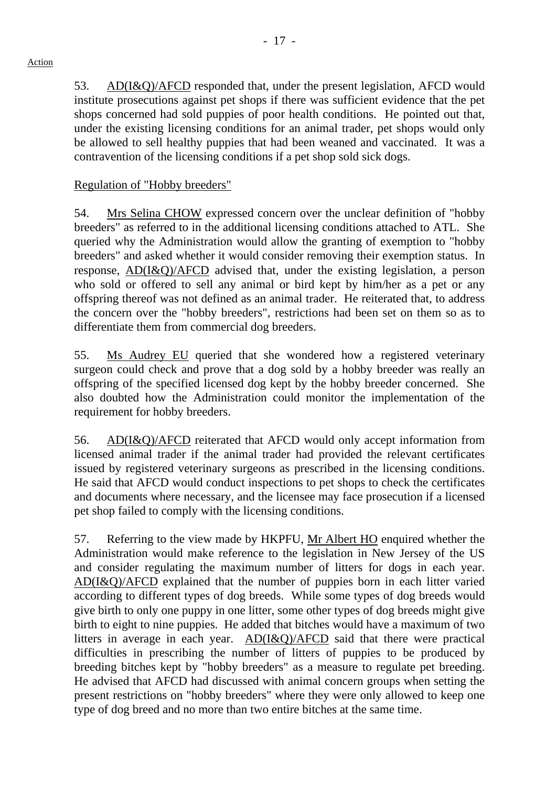53. AD(I&Q)/AFCD responded that, under the present legislation, AFCD would institute prosecutions against pet shops if there was sufficient evidence that the pet shops concerned had sold puppies of poor health conditions. He pointed out that, under the existing licensing conditions for an animal trader, pet shops would only be allowed to sell healthy puppies that had been weaned and vaccinated. It was a contravention of the licensing conditions if a pet shop sold sick dogs.

### Regulation of "Hobby breeders"

54. Mrs Selina CHOW expressed concern over the unclear definition of "hobby breeders" as referred to in the additional licensing conditions attached to ATL. She queried why the Administration would allow the granting of exemption to "hobby breeders" and asked whether it would consider removing their exemption status. In response, AD(I&Q)/AFCD advised that, under the existing legislation, a person who sold or offered to sell any animal or bird kept by him/her as a pet or any offspring thereof was not defined as an animal trader. He reiterated that, to address the concern over the "hobby breeders", restrictions had been set on them so as to differentiate them from commercial dog breeders.

55. Ms Audrey EU queried that she wondered how a registered veterinary surgeon could check and prove that a dog sold by a hobby breeder was really an offspring of the specified licensed dog kept by the hobby breeder concerned. She also doubted how the Administration could monitor the implementation of the requirement for hobby breeders.

56. AD(I&Q)/AFCD reiterated that AFCD would only accept information from licensed animal trader if the animal trader had provided the relevant certificates issued by registered veterinary surgeons as prescribed in the licensing conditions. He said that AFCD would conduct inspections to pet shops to check the certificates and documents where necessary, and the licensee may face prosecution if a licensed pet shop failed to comply with the licensing conditions.

57. Referring to the view made by HKPFU, Mr Albert HO enquired whether the Administration would make reference to the legislation in New Jersey of the US and consider regulating the maximum number of litters for dogs in each year. AD(I&Q)/AFCD explained that the number of puppies born in each litter varied according to different types of dog breeds. While some types of dog breeds would give birth to only one puppy in one litter, some other types of dog breeds might give birth to eight to nine puppies. He added that bitches would have a maximum of two litters in average in each year. AD(I&Q)/AFCD said that there were practical difficulties in prescribing the number of litters of puppies to be produced by breeding bitches kept by "hobby breeders" as a measure to regulate pet breeding. He advised that AFCD had discussed with animal concern groups when setting the present restrictions on "hobby breeders" where they were only allowed to keep one type of dog breed and no more than two entire bitches at the same time.